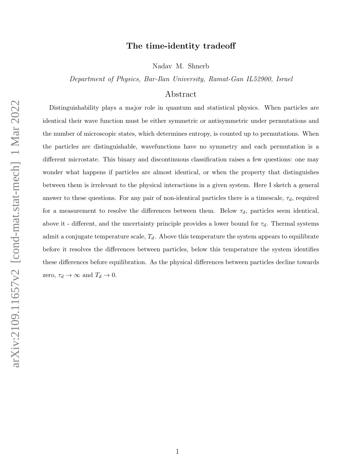## The time-identity tradeoff

Nadav M. Shnerb

Department of Physics, Bar-Ilan University, Ramat-Gan IL52900, Israel

### Abstract

Distinguishability plays a major role in quantum and statistical physics. When particles are identical their wave function must be either symmetric or antisymmetric under permutations and the number of microscopic states, which determines entropy, is counted up to permutations. When the particles are distinguishable, wavefunctions have no symmetry and each permutation is a different microstate. This binary and discontinuous classification raises a few questions: one may wonder what happens if particles are almost identical, or when the property that distinguishes between them is irrelevant to the physical interactions in a given system. Here I sketch a general answer to these questions. For any pair of non-identical particles there is a timescale,  $\tau_d$ , required for a measurement to resolve the differences between them. Below  $\tau_d$ , particles seem identical, above it - different, and the uncertainty principle provides a lower bound for  $\tau_d$ . Thermal systems admit a conjugate temperature scale,  $T_d$ . Above this temperature the system appears to equilibrate before it resolves the differences between particles, below this temperature the system identifies these differences before equilibration. As the physical differences between particles decline towards zero,  $\tau_d \to \infty$  and  $T_d \to 0$ .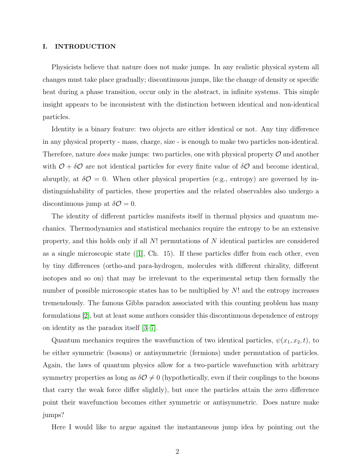### I. INTRODUCTION

Physicists believe that nature does not make jumps. In any realistic physical system all changes must take place gradually; discontinuous jumps, like the change of density or specific heat during a phase transition, occur only in the abstract, in infinite systems. This simple insight appears to be inconsistent with the distinction between identical and non-identical particles.

Identity is a binary feature: two objects are either identical or not. Any tiny difference in any physical property - mass, charge, size - is enough to make two particles non-identical. Therefore, nature *does* make jumps: two particles, one with physical property  $\mathcal O$  and another with  $\mathcal{O} + \delta \mathcal{O}$  are not identical particles for every finite value of  $\delta \mathcal{O}$  and become identical, abruptly, at  $\delta\mathcal{O}=0$ . When other physical properties (e.g., entropy) are governed by indistinguishability of particles, these properties and the related observables also undergo a discontinuous jump at  $\delta \mathcal{O} = 0$ .

The identity of different particles manifests itself in thermal physics and quantum mechanics. Thermodynamics and statistical mechanics require the entropy to be an extensive property, and this holds only if all N! permutations of N identical particles are considered as a single microscopic state  $(1]$ , Ch. 15). If these particles differ from each other, even by tiny differences (ortho-and para-hydrogen, molecules with different chirality, different isotopes and so on) that may be irrelevant to the experimental setup then formally the number of possible microscopic states has to be multiplied by N! and the entropy increases tremendously. The famous Gibbs paradox associated with this counting problem has many formulations [\[2\]](#page-14-1), but at least some authors consider this discontinuous dependence of entropy on identity as the paradox itself [\[3](#page-14-2)[–7\]](#page-14-3).

Quantum mechanics requires the wavefunction of two identical particles,  $\psi(x_1, x_2, t)$ , to be either symmetric (bosons) or antisymmetric (fermions) under permutation of particles. Again, the laws of quantum physics allow for a two-particle wavefunction with arbitrary symmetry properties as long as  $\delta \mathcal{O} \neq 0$  (hypothetically, even if their couplings to the bosons that carry the weak force differ slightly), but once the particles attain the zero difference point their wavefunction becomes either symmetric or antisymmetric. Does nature make jumps?

Here I would like to argue against the instantaneous jump idea by pointing out the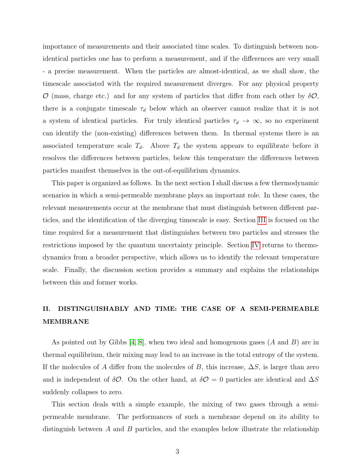importance of measurements and their associated time scales. To distinguish between nonidentical particles one has to preform a measurement, and if the differences are very small - a precise measurement. When the particles are almost-identical, as we shall show, the timescale associated with the required measurement diverges. For any physical property  $\mathcal{O}$  (mass, charge etc.) and for any system of particles that differ from each other by  $\delta\mathcal{O}$ , there is a conjugate timescale  $\tau_d$  below which an observer cannot realize that it is not a system of identical particles. For truly identical particles  $\tau_d \to \infty$ , so no experiment can identify the (non-existing) differences between them. In thermal systems there is an associated temperature scale  $T<sub>d</sub>$ . Above  $T<sub>d</sub>$  the system appears to equilibrate before it resolves the differences between particles, below this temperature the differences between particles manifest themselves in the out-of-equilibrium dynamics.

This paper is organized as follows. In the next section I shall discuss a few thermodynamic scenarios in which a semi-permeable membrane plays an important role. In these cases, the relevant measurements occur at the membrane that must distinguish between different particles, and the identification of the diverging timescale is easy. Section [III](#page-6-0) is focused on the time required for a measurement that distinguishes between two particles and stresses the restrictions imposed by the quantum uncertainty principle. Section [IV](#page-7-0) returns to thermodynamics from a broader perspective, which allows us to identify the relevant temperature scale. Finally, the discussion section provides a summary and explains the relationships between this and former works.

## II. DISTINGUISHABLY AND TIME: THE CASE OF A SEMI-PERMEABLE MEMBRANE

As pointed out by Gibbs  $[4, 8]$  $[4, 8]$ , when two ideal and homogenous gases  $(A \text{ and } B)$  are in thermal equilibrium, their mixing may lead to an increase in the total entropy of the system. If the molecules of A differ from the molecules of B, this increase,  $\Delta S$ , is larger than zero and is independent of  $\delta O$ . On the other hand, at  $\delta O = 0$  particles are identical and  $\Delta S$ suddenly collapses to zero.

This section deals with a simple example, the mixing of two gases through a semipermeable membrane. The performances of such a membrane depend on its ability to distinguish between  $A$  and  $B$  particles, and the examples below illustrate the relationship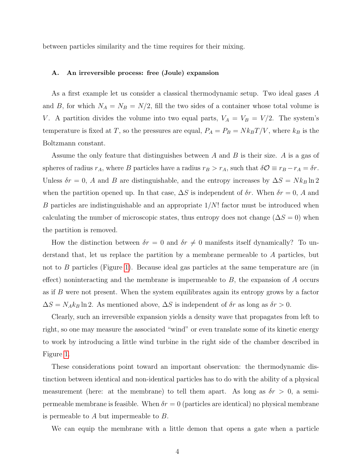between particles similarity and the time requires for their mixing.

### A. An irreversible process: free (Joule) expansion

As a first example let us consider a classical thermodynamic setup. Two ideal gases A and B, for which  $N_A = N_B = N/2$ , fill the two sides of a container whose total volume is V. A partition divides the volume into two equal parts,  $V_A = V_B = V/2$ . The system's temperature is fixed at T, so the pressures are equal,  $P_A = P_B = N k_B T/V$ , where  $k_B$  is the Boltzmann constant.

Assume the only feature that distinguishes between  $A$  and  $B$  is their size.  $A$  is a gas of spheres of radius  $r_A$ , where B particles have a radius  $r_B > r_A$ , such that  $\delta \mathcal{O} \equiv r_B - r_A = \delta r$ . Unless  $\delta r = 0$ , A and B are distinguishable, and the entropy increases by  $\Delta S = N k_B \ln 2$ when the partition opened up. In that case,  $\Delta S$  is independent of  $\delta r$ . When  $\delta r = 0$ , A and B particles are indistinguishable and an appropriate  $1/N!$  factor must be introduced when calculating the number of microscopic states, thus entropy does not change ( $\Delta S = 0$ ) when the partition is removed.

How the distinction between  $\delta r = 0$  and  $\delta r \neq 0$  manifests itself dynamically? To understand that, let us replace the partition by a membrane permeable to A particles, but not to B particles (Figure [1\)](#page-4-0). Because ideal gas particles at the same temperature are (in effect) noninteracting and the membrane is impermeable to  $B$ , the expansion of  $A$  occurs as if B were not present. When the system equilibrates again its entropy grows by a factor  $\Delta S = N_A k_B \ln 2$ . As mentioned above,  $\Delta S$  is independent of  $\delta r$  as long as  $\delta r > 0$ .

Clearly, such an irreversible expansion yields a density wave that propagates from left to right, so one may measure the associated "wind" or even translate some of its kinetic energy to work by introducing a little wind turbine in the right side of the chamber described in Figure [1.](#page-4-0)

These considerations point toward an important observation: the thermodynamic distinction between identical and non-identical particles has to do with the ability of a physical measurement (here: at the membrane) to tell them apart. As long as  $\delta r > 0$ , a semipermeable membrane is feasible. When  $\delta r = 0$  (particles are identical) no physical membrane is permeable to A but impermeable to B.

We can equip the membrane with a little demon that opens a gate when a particle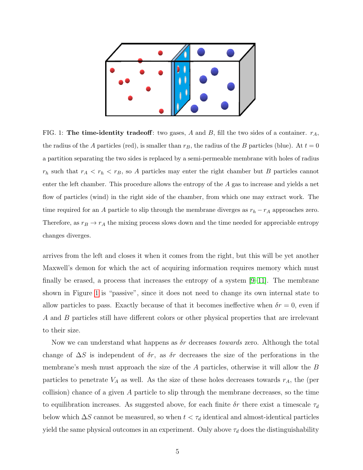<span id="page-4-0"></span>

FIG. 1: The time-identity tradeoff: two gases, A and B, fill the two sides of a container.  $r_A$ , the radius of the A particles (red), is smaller than  $r_B$ , the radius of the B particles (blue). At  $t = 0$ a partition separating the two sides is replaced by a semi-permeable membrane with holes of radius  $r_h$  such that  $r_A < r_h < r_B$ , so A particles may enter the right chamber but B particles cannot enter the left chamber. This procedure allows the entropy of the A gas to increase and yields a net flow of particles (wind) in the right side of the chamber, from which one may extract work. The time required for an A particle to slip through the membrane diverges as  $r_h - r_A$  approaches zero. Therefore, as  $r_B \to r_A$  the mixing process slows down and the time needed for appreciable entropy changes diverges.

arrives from the left and closes it when it comes from the right, but this will be yet another Maxwell's demon for which the act of acquiring information requires memory which must finally be erased, a process that increases the entropy of a system  $[9-11]$  $[9-11]$ . The membrane shown in Figure [1](#page-4-0) is "passive", since it does not need to change its own internal state to allow particles to pass. Exactly because of that it becomes ineffective when  $\delta r = 0$ , even if A and B particles still have different colors or other physical properties that are irrelevant to their size.

Now we can understand what happens as  $\delta r$  decreases *towards* zero. Although the total change of  $\Delta S$  is independent of  $\delta r$ , as  $\delta r$  decreases the size of the perforations in the membrane's mesh must approach the size of the A particles, otherwise it will allow the B particles to penetrate  $V_A$  as well. As the size of these holes decreases towards  $r_A$ , the (per collision) chance of a given  $A$  particle to slip through the membrane decreases, so the time to equilibration increases. As suggested above, for each finite  $\delta r$  there exist a timescale  $\tau_d$ below which  $\Delta S$  cannot be measured, so when  $t < \tau_d$  identical and almost-identical particles yield the same physical outcomes in an experiment. Only above  $\tau_d$  does the distinguishability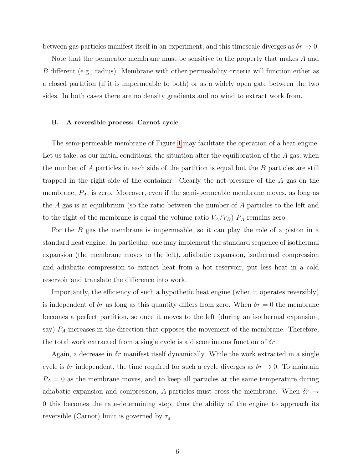between gas particles manifest itself in an experiment, and this timescale diverges as  $\delta r \to 0$ .

Note that the permeable membrane must be sensitive to the property that makes A and B different (e.g., radius). Membrane with other permeability criteria will function either as a closed partition (if it is impermeable to both) or as a widely open gate between the two sides. In both cases there are no density gradients and no wind to extract work from.

### B. A reversible process: Carnot cycle

The semi-permeable membrane of Figure [1](#page-4-0) may facilitate the operation of a heat engine. Let us take, as our initial conditions, the situation after the equilibration of the  $A$  gas, when the number of A particles in each side of the partition is equal but the B particles are still trapped in the right side of the container. Clearly the net pressure of the A gas on the membrane,  $P_A$ , is zero. Moreover, even if the semi-permeable membrane moves, as long as the A gas is at equilibrium (so the ratio between the number of A particles to the left and to the right of the membrane is equal the volume ratio  $V_A/V_B$ )  $P_A$  remains zero.

For the B gas the membrane is impermeable, so it can play the role of a piston in a standard heat engine. In particular, one may implement the standard sequence of isothermal expansion (the membrane moves to the left), adiabatic expansion, isothermal compression and adiabatic compression to extract heat from a hot reservoir, put less heat in a cold reservoir and translate the difference into work.

Importantly, the efficiency of such a hypothetic heat engine (when it operates reversibly) is independent of  $\delta r$  as long as this quantity differs from zero. When  $\delta r = 0$  the membrane becomes a perfect partition, so once it moves to the left (during an isothermal expansion, say)  $P_A$  increases in the direction that opposes the movement of the membrane. Therefore, the total work extracted from a single cycle is a discontinuous function of  $\delta r$ .

Again, a decrease in  $\delta r$  manifest itself dynamically. While the work extracted in a single cycle is  $\delta r$  independent, the time required for such a cycle diverges as  $\delta r \to 0$ . To maintain  $P_A = 0$  as the membrane moves, and to keep all particles at the same temperature during adiabatic expansion and compression, A-particles must cross the membrane. When  $\delta r \rightarrow$ 0 this becomes the rate-determining step, thus the ability of the engine to approach its reversible (Carnot) limit is governed by  $\tau_d$ .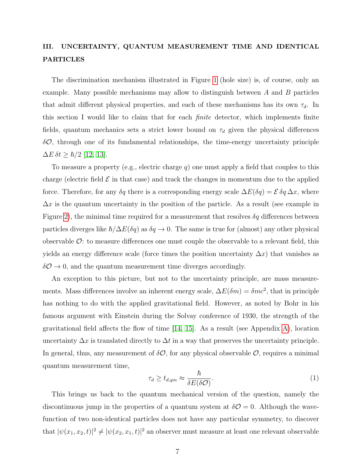# <span id="page-6-0"></span>III. UNCERTAINTY, QUANTUM MEASUREMENT TIME AND IDENTICAL PARTICLES

The discrimination mechanism illustrated in Figure [1](#page-4-0) (hole size) is, of course, only an example. Many possible mechanisms may allow to distinguish between  $A$  and  $B$  particles that admit different physical properties, and each of these mechanisms has its own  $\tau_d$ . In this section I would like to claim that for each finite detector, which implements finite fields, quantum mechanics sets a strict lower bound on  $\tau_d$  given the physical differences  $\delta\mathcal{O}$ , through one of its fundamental relationships, the time-energy uncertainty principle  $\Delta E \,\delta t \geq \hbar/2$  [\[12,](#page-14-8) [13\]](#page-14-9).

To measure a property (e.g., electric charge q) one must apply a field that couples to this charge (electric field  $\mathcal E$  in that case) and track the changes in momentum due to the applied force. Therefore, for any  $\delta q$  there is a corresponding energy scale  $\Delta E(\delta q) = \mathcal{E} \delta q \Delta x$ , where  $\Delta x$  is the quantum uncertainty in the position of the particle. As a result (see example in Figure [2\)](#page-7-1), the minimal time required for a measurement that resolves  $\delta q$  differences between particles diverges like  $\hbar/\Delta E(\delta q)$  as  $\delta q \to 0$ . The same is true for (almost) any other physical observable  $\mathcal{O}$ : to measure differences one must couple the observable to a relevant field, this yields an energy difference scale (force times the position uncertainty  $\Delta x$ ) that vanishes as  $\delta\mathcal{O}\rightarrow 0$ , and the quantum measurement time diverges accordingly.

An exception to this picture, but not to the uncertainty principle, are mass measurements. Mass differences involve an inherent energy scale,  $\Delta E(\delta m) = \delta m c^2$ , that in principle has nothing to do with the applied gravitational field. However, as noted by Bohr in his famous argument with Einstein during the Solvay conference of 1930, the strength of the gravitational field affects the flow of time  $(14, 15)$ . As a result (see Appendix [A\)](#page-15-0), location uncertainty  $\Delta x$  is translated directly to  $\Delta t$  in a way that preserves the uncertainty principle. In general, thus, any measurement of  $\delta\mathcal{O}$ , for any physical observable  $\mathcal{O}$ , requires a minimal quantum measurement time,

$$
\tau_d \ge t_{d,qm} \approx \frac{\hbar}{\delta E(\delta \mathcal{O})}.\tag{1}
$$

This brings us back to the quantum mechanical version of the question, namely the discontinuous jump in the properties of a quantum system at  $\delta\mathcal{O}=0$ . Although the wavefunction of two non-identical particles does not have any particular symmetry, to discover that  $|\psi(x_1, x_2, t)|^2 \neq |\psi(x_2, x_1, t)|^2$  an observer must measure at least one relevant observable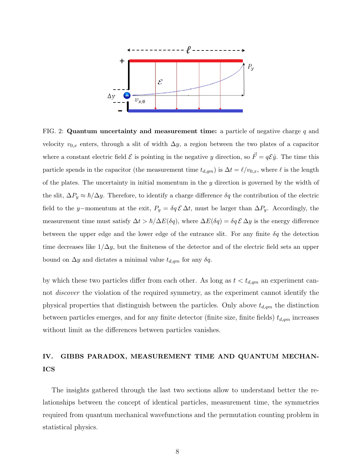

<span id="page-7-1"></span>FIG. 2: Quantum uncertainty and measurement time: a particle of negative charge  $q$  and velocity  $v_{0,x}$  enters, through a slit of width  $\Delta y$ , a region between the two plates of a capacitor where a constant electric field  $\mathcal E$  is pointing in the negative y direction, so  $\vec F = q\mathcal{E}\hat{y}$ . The time this particle spends in the capacitor (the measurement time  $t_{d,qm}$ ) is  $\Delta t = \ell/v_{0,x}$ , where  $\ell$  is the length of the plates. The uncertainty in initial momentum in the  $y$  direction is governed by the width of the slit,  $\Delta P_y \approx \hbar / \Delta y$ . Therefore, to identify a charge difference  $\delta q$  the contribution of the electric field to the y–momentum at the exit,  $P_y = \delta q \mathcal{E} \Delta t$ , must be larger than  $\Delta P_y$ . Accordingly, the measurement time must satisfy  $\Delta t > \hbar/\Delta E(\delta q)$ , where  $\Delta E(\delta q) = \delta q \mathcal{E} \Delta y$  is the energy difference between the upper edge and the lower edge of the entrance slit. For any finite  $\delta q$  the detection time decreases like  $1/\Delta y$ , but the finiteness of the detector and of the electric field sets an upper bound on  $\Delta y$  and dictates a minimal value  $t_{d,qm}$  for any  $\delta q$ .

by which these two particles differ from each other. As long as  $t < t_{d,qm}$  an experiment cannot *discover* the violation of the required symmetry, as the experiment cannot identify the physical properties that distinguish between the particles. Only above  $t_{d,qm}$  the distinction between particles emerges, and for any finite detector (finite size, finite fields)  $t_{d,qm}$  increases without limit as the differences between particles vanishes.

# <span id="page-7-0"></span>IV. GIBBS PARADOX, MEASUREMENT TIME AND QUANTUM MECHAN-ICS

The insights gathered through the last two sections allow to understand better the relationships between the concept of identical particles, measurement time, the symmetries required from quantum mechanical wavefunctions and the permutation counting problem in statistical physics.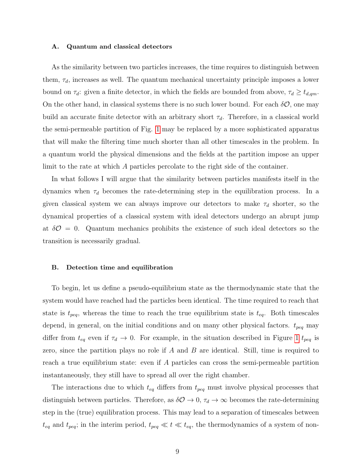#### A. Quantum and classical detectors

As the similarity between two particles increases, the time requires to distinguish between them,  $\tau_d$ , increases as well. The quantum mechanical uncertainty principle imposes a lower bound on  $\tau_d$ : given a finite detector, in which the fields are bounded from above,  $\tau_d \geq t_{d,qm}$ . On the other hand, in classical systems there is no such lower bound. For each  $\delta O$ , one may build an accurate finite detector with an arbitrary short  $\tau_d$ . Therefore, in a classical world the semi-permeable partition of Fig. [1](#page-4-0) may be replaced by a more sophisticated apparatus that will make the filtering time much shorter than all other timescales in the problem. In a quantum world the physical dimensions and the fields at the partition impose an upper limit to the rate at which A particles percolate to the right side of the container.

In what follows I will argue that the similarity between particles manifests itself in the dynamics when  $\tau_d$  becomes the rate-determining step in the equilibration process. In a given classical system we can always improve our detectors to make  $\tau_d$  shorter, so the dynamical properties of a classical system with ideal detectors undergo an abrupt jump at  $\delta\mathcal{O}=0$ . Quantum mechanics prohibits the existence of such ideal detectors so the transition is necessarily gradual.

### B. Detection time and equilibration

To begin, let us define a pseudo-equilibrium state as the thermodynamic state that the system would have reached had the particles been identical. The time required to reach that state is  $t_{peq}$ , whereas the time to reach the true equilibrium state is  $t_{eq}$ . Both timescales depend, in general, on the initial conditions and on many other physical factors.  $t_{peq}$  may differ from  $t_{eq}$  even if  $\tau_d \to 0$ . For example, in the situation described in Figure [1](#page-4-0)  $t_{peq}$  is zero, since the partition plays no role if  $A$  and  $B$  are identical. Still, time is required to reach a true equilibrium state: even if A particles can cross the semi-permeable partition instantaneously, they still have to spread all over the right chamber.

The interactions due to which  $t_{eq}$  differs from  $t_{peq}$  must involve physical processes that distinguish between particles. Therefore, as  $\delta\mathcal{O} \to 0$ ,  $\tau_d \to \infty$  becomes the rate-determining step in the (true) equilibration process. This may lead to a separation of timescales between  $t_{eq}$  and  $t_{peq}$ ; in the interim period,  $t_{peq} \ll t \ll t_{eq}$ , the thermodynamics of a system of non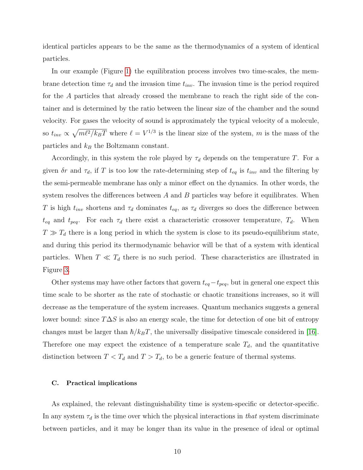identical particles appears to be the same as the thermodynamics of a system of identical particles.

In our example (Figure [1\)](#page-4-0) the equilibration process involves two time-scales, the membrane detection time  $\tau_d$  and the invasion time  $t_{inv}$ . The invasion time is the period required for the A particles that already crossed the membrane to reach the right side of the container and is determined by the ratio between the linear size of the chamber and the sound velocity. For gases the velocity of sound is approximately the typical velocity of a molecule, so  $t_{inv} \propto \sqrt{m\ell^2/k_BT}$  where  $\ell = V^{1/3}$  is the linear size of the system, m is the mass of the particles and  $k_B$  the Boltzmann constant.

Accordingly, in this system the role played by  $\tau_d$  depends on the temperature T. For a given  $\delta r$  and  $\tau_d$ , if T is too low the rate-determining step of  $t_{eq}$  is  $t_{inv}$  and the filtering by the semi-permeable membrane has only a minor effect on the dynamics. In other words, the system resolves the differences between  $A$  and  $B$  particles way before it equilibrates. When T is high  $t_{inv}$  shortens and  $\tau_d$  dominates  $t_{eq}$ , as  $\tau_d$  diverges so does the difference between  $t_{eq}$  and  $t_{peq}$ . For each  $\tau_d$  there exist a characteristic crossover temperature,  $T_d$ . When  $T \gg T_d$  there is a long period in which the system is close to its pseudo-equilibrium state, and during this period its thermodynamic behavior will be that of a system with identical particles. When  $T \ll T_d$  there is no such period. These characteristics are illustrated in Figure [3.](#page-10-0)

Other systems may have other factors that govern  $t_{eq}-t_{peq}$ , but in general one expect this time scale to be shorter as the rate of stochastic or chaotic transitions increases, so it will decrease as the temperature of the system increases. Quantum mechanics suggests a general lower bound: since  $T\Delta S$  is also an energy scale, the time for detection of one bit of entropy changes must be larger than  $\hbar/k_BT$ , the universally dissipative timescale considered in [\[16\]](#page-14-12). Therefore one may expect the existence of a temperature scale  $T_d$ , and the quantitative distinction between  $T < T_d$  and  $T > T_d$ , to be a generic feature of thermal systems.

### C. Practical implications

As explained, the relevant distinguishability time is system-specific or detector-specific. In any system  $\tau_d$  is the time over which the physical interactions in *that* system discriminate between particles, and it may be longer than its value in the presence of ideal or optimal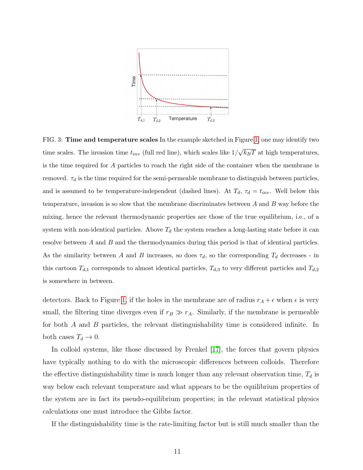

<span id="page-10-0"></span>FIG. 3: Time and temperature scales In the example sketched in Figure [1,](#page-4-0) one may identify two time scales. The invasion time  $t_{inv}$  (full red line), which scales like  $1/$ √  $\overline{k_BT}$  at high temperatures, is the time required for A particles to reach the right side of the container when the membrane is removed.  $\tau_d$  is the time required for the semi-permeable membrane to distinguish between particles, and is assumed to be temperature-independent (dashed lines). At  $T_d$ ,  $\tau_d = t_{inv}$ . Well below this temperature, invasion is so slow that the membrane discriminates between  $A$  and  $B$  way before the mixing, hence the relevant thermodynamic properties are those of the true equilibrium, i.e., of a system with non-identical particles. Above  $T_d$  the system reaches a long-lasting state before it can resolve between A and B and the thermodynamics during this period is that of identical particles. As the similarity between A and B increases, so does  $\tau_d$ , so the corresponding  $T_d$  decreases - in this cartoon  $T_{d,1}$  corresponds to almost identical particles,  $T_{d,3}$  to very different particles and  $T_{d,2}$ is somewhere in between.

detectors. Back to Figure [1,](#page-4-0) if the holes in the membrane are of radius  $r_A + \epsilon$  when  $\epsilon$  is very small, the filtering time diverges even if  $r_B \gg r_A$ . Similarly, if the membrane is permeable for both A and B particles, the relevant distinguishability time is considered infinite. In both cases  $T_d \to 0$ .

In colloid systems, like those discussed by Frenkel [\[17\]](#page-14-13), the forces that govern physics have typically nothing to do with the microscopic differences between colloids. Therefore the effective distinguishability time is much longer than any relevant observation time,  $T_d$  is way below each relevant temperature and what appears to be the equilibrium properties of the system are in fact its pseudo-equilibrium properties; in the relevant statistical physics calculations one must introduce the Gibbs factor.

If the distinguishability time is the rate-limiting factor but is still much smaller than the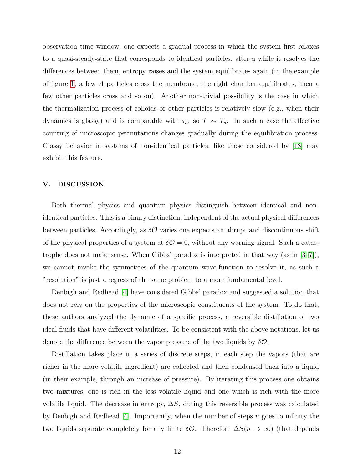observation time window, one expects a gradual process in which the system first relaxes to a quasi-steady-state that corresponds to identical particles, after a while it resolves the differences between them, entropy raises and the system equilibrates again (in the example of figure [1,](#page-4-0) a few A particles cross the membrane, the right chamber equilibrates, then a few other particles cross and so on). Another non-trivial possibility is the case in which the thermalization process of colloids or other particles is relatively slow (e.g., when their dynamics is glassy) and is comparable with  $\tau_d$ , so  $T \sim T_d$ . In such a case the effective counting of microscopic permutations changes gradually during the equilibration process. Glassy behavior in systems of non-identical particles, like those considered by [\[18\]](#page-14-14) may exhibit this feature.

### V. DISCUSSION

Both thermal physics and quantum physics distinguish between identical and nonidentical particles. This is a binary distinction, independent of the actual physical differences between particles. Accordingly, as  $\delta O$  varies one expects an abrupt and discontinuous shift of the physical properties of a system at  $\delta \mathcal{O} = 0$ , without any warning signal. Such a catastrophe does not make sense. When Gibbs' paradox is interpreted in that way (as in [\[3](#page-14-2)[–7\]](#page-14-3)), we cannot invoke the symmetries of the quantum wave-function to resolve it, as such a "resolution" is just a regress of the same problem to a more fundamental level.

Denbigh and Redhead [\[4\]](#page-14-4) have considered Gibbs' paradox and suggested a solution that does not rely on the properties of the microscopic constituents of the system. To do that, these authors analyzed the dynamic of a specific process, a reversible distillation of two ideal fluids that have different volatilities. To be consistent with the above notations, let us denote the difference between the vapor pressure of the two liquids by  $\delta \mathcal{O}$ .

Distillation takes place in a series of discrete steps, in each step the vapors (that are richer in the more volatile ingredient) are collected and then condensed back into a liquid (in their example, through an increase of pressure). By iterating this process one obtains two mixtures, one is rich in the less volatile liquid and one which is rich with the more volatile liquid. The decrease in entropy,  $\Delta S$ , during this reversible process was calculated by Denbigh and Redhead [\[4\]](#page-14-4). Importantly, when the number of steps n goes to infinity the two liquids separate completely for any finite  $\delta O$ . Therefore  $\Delta S(n \to \infty)$  (that depends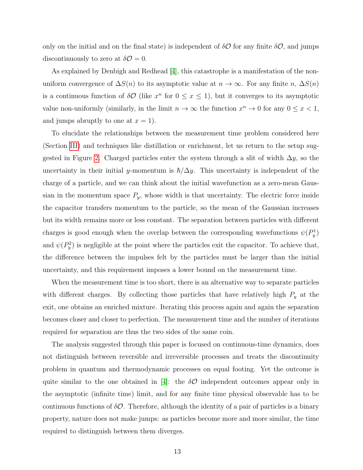only on the initial and on the final state) is independent of  $\delta\mathcal{O}$  for any finite  $\delta\mathcal{O}$ , and jumps discontinuously to zero at  $\delta \mathcal{O} = 0$ .

As explained by Denbigh and Redhead [\[4\]](#page-14-4), this catastrophe is a manifestation of the nonuniform convergence of  $\Delta S(n)$  to its asymptotic value at  $n \to \infty$ . For any finite n,  $\Delta S(n)$ is a continuous function of  $\delta \mathcal{O}$  (like  $x^n$  for  $0 \le x \le 1$ ), but it converges to its asymptotic value non-uniformly (similarly, in the limit  $n \to \infty$  the function  $x^n \to 0$  for any  $0 \le x < 1$ , and jumps abruptly to one at  $x = 1$ .

To elucidate the relationships between the measurement time problem considered here (Section [III\)](#page-6-0) and techniques like distillation or enrichment, let us return to the setup sug-gested in Figure [2.](#page-7-1) Charged particles enter the system through a slit of width  $\Delta y$ , so the uncertainty in their initial y-momentum is  $\hbar/\Delta y$ . This uncertainty is independent of the charge of a particle, and we can think about the initial wavefunction as a zero-mean Gaussian in the momentum space  $P_y$ , whose width is that uncertainty. The electric force inside the capacitor transfers momentum to the particle, so the mean of the Gaussian increases but its width remains more or less constant. The separation between particles with different charges is good enough when the overlap between the corresponding wavefunctions  $\psi(P_y^1)$ and  $\psi(P_y^2)$  is negligible at the point where the particles exit the capacitor. To achieve that, the difference between the impulses felt by the particles must be larger than the initial uncertainty, and this requirement imposes a lower bound on the measurement time.

When the measurement time is too short, there is an alternative way to separate particles with different charges. By collecting those particles that have relatively high  $P_y$  at the exit, one obtains an enriched mixture. Iterating this process again and again the separation becomes closer and closer to perfection. The measurement time and the number of iterations required for separation are thus the two sides of the same coin.

The analysis suggested through this paper is focused on continuous-time dynamics, does not distinguish between reversible and irreversible processes and treats the discontinuity problem in quantum and thermodynamic processes on equal footing. Yet the outcome is quite similar to the one obtained in [\[4\]](#page-14-4): the  $\delta O$  independent outcomes appear only in the asymptotic (infinite time) limit, and for any finite time physical observable has to be continuous functions of  $\delta O$ . Therefore, although the identity of a pair of particles is a binary property, nature does not make jumps: as particles become more and more similar, the time required to distinguish between them diverges.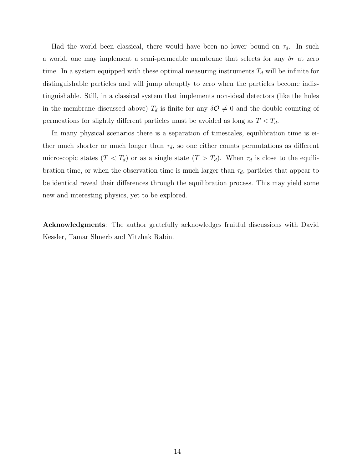Had the world been classical, there would have been no lower bound on  $\tau_d$ . In such a world, one may implement a semi-permeable membrane that selects for any  $\delta r$  at zero time. In a system equipped with these optimal measuring instruments  $T<sub>d</sub>$  will be infinite for distinguishable particles and will jump abruptly to zero when the particles become indistinguishable. Still, in a classical system that implements non-ideal detectors (like the holes in the membrane discussed above)  $T_d$  is finite for any  $\delta\mathcal{O}\neq 0$  and the double-counting of permeations for slightly different particles must be avoided as long as  $T < T_d$ .

In many physical scenarios there is a separation of timescales, equilibration time is either much shorter or much longer than  $\tau_d$ , so one either counts permutations as different microscopic states  $(T < T_d)$  or as a single state  $(T > T_d)$ . When  $\tau_d$  is close to the equilibration time, or when the observation time is much larger than  $\tau_d$ , particles that appear to be identical reveal their differences through the equilibration process. This may yield some new and interesting physics, yet to be explored.

Acknowledgments: The author gratefully acknowledges fruitful discussions with David Kessler, Tamar Shnerb and Yitzhak Rabin.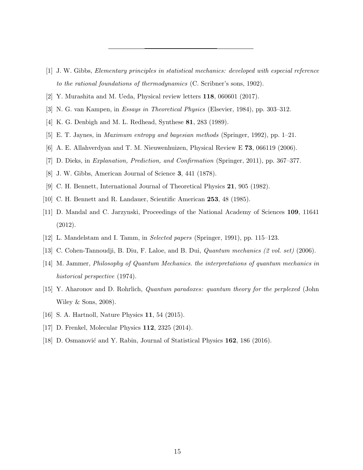- <span id="page-14-0"></span>[1] J. W. Gibbs, Elementary principles in statistical mechanics: developed with especial reference to the rational foundations of thermodynamics (C. Scribner's sons, 1902).
- <span id="page-14-2"></span><span id="page-14-1"></span>[2] Y. Murashita and M. Ueda, Physical review letters 118, 060601 (2017).
- <span id="page-14-4"></span>[3] N. G. van Kampen, in Essays in Theoretical Physics (Elsevier, 1984), pp. 303–312.
- [4] K. G. Denbigh and M. L. Redhead, Synthese 81, 283 (1989).
- [5] E. T. Jaynes, in Maximum entropy and bayesian methods (Springer, 1992), pp. 1–21.
- <span id="page-14-3"></span>[6] A. E. Allahverdyan and T. M. Nieuwenhuizen, Physical Review E 73, 066119 (2006).
- <span id="page-14-5"></span>[7] D. Dieks, in Explanation, Prediction, and Confirmation (Springer, 2011), pp. 367–377.
- <span id="page-14-6"></span>[8] J. W. Gibbs, American Journal of Science 3, 441 (1878).
- [9] C. H. Bennett, International Journal of Theoretical Physics 21, 905 (1982).
- <span id="page-14-7"></span>[10] C. H. Bennett and R. Landauer, Scientific American 253, 48 (1985).
- [11] D. Mandal and C. Jarzynski, Proceedings of the National Academy of Sciences 109, 11641 (2012).
- <span id="page-14-9"></span><span id="page-14-8"></span>[12] L. Mandelstam and I. Tamm, in Selected papers (Springer, 1991), pp. 115–123.
- <span id="page-14-10"></span>[13] C. Cohen-Tannoudji, B. Diu, F. Laloe, and B. Dui, Quantum mechanics (2 vol. set) (2006).
- [14] M. Jammer, Philosophy of Quantum Mechanics. the interpretations of quantum mechanics in historical perspective (1974).
- <span id="page-14-11"></span>[15] Y. Aharonov and D. Rohrlich, Quantum paradoxes: quantum theory for the perplexed (John Wiley & Sons, 2008).
- <span id="page-14-13"></span><span id="page-14-12"></span>[16] S. A. Hartnoll, Nature Physics **11**, 54 (2015).
- <span id="page-14-14"></span>[17] D. Frenkel, Molecular Physics 112, 2325 (2014).
- [18] D. Osmanović and Y. Rabin, Journal of Statistical Physics 162, 186 (2016).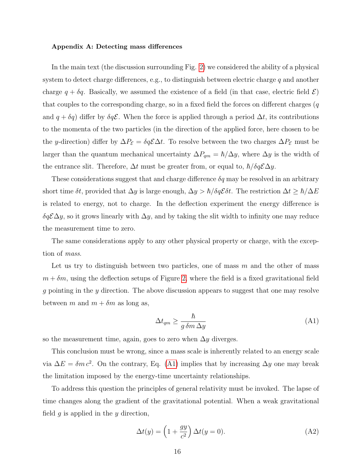### <span id="page-15-0"></span>Appendix A: Detecting mass differences

In the main text (the discussion surrounding Fig. [2\)](#page-7-1) we considered the ability of a physical system to detect charge differences, e.g., to distinguish between electric charge  $q$  and another charge  $q + \delta q$ . Basically, we assumed the existence of a field (in that case, electric field  $\mathcal{E}$ ) that couples to the corresponding charge, so in a fixed field the forces on different charges  $(q)$ and  $q + \delta q$ ) differ by  $\delta q\mathcal{E}$ . When the force is applied through a period  $\Delta t$ , its contributions to the momenta of the two particles (in the direction of the applied force, here chosen to be the y-direction) differ by  $\Delta P_{\mathcal{E}} = \delta q \mathcal{E} \Delta t$ . To resolve between the two charges  $\Delta P_{\mathcal{E}}$  must be larger than the quantum mechanical uncertainty  $\Delta P_{qm} = \hbar/\Delta y$ , where  $\Delta y$  is the width of the entrance slit. Therefore,  $\Delta t$  must be greater from, or equal to,  $\hbar/\delta q \mathcal{E} \Delta y$ .

These considerations suggest that and charge difference  $\delta q$  may be resolved in an arbitrary short time  $\delta t$ , provided that  $\Delta y$  is large enough,  $\Delta y > \hbar / \delta q \mathcal{E} \delta t$ . The restriction  $\Delta t \geq \hbar / \Delta E$ is related to energy, not to charge. In the deflection experiment the energy difference is  $\delta q \mathcal{E} \Delta y$ , so it grows linearly with  $\Delta y$ , and by taking the slit width to infinity one may reduce the measurement time to zero.

The same considerations apply to any other physical property or charge, with the exception of mass.

Let us try to distinguish between two particles, one of mass  $m$  and the other of mass  $m + \delta m$ , using the deflection setups of Figure [2,](#page-7-1) where the field is a fixed gravitational field g pointing in the y direction. The above discussion appears to suggest that one may resolve between m and  $m + \delta m$  as long as,

<span id="page-15-1"></span>
$$
\Delta t_{qm} \ge \frac{\hbar}{g \,\delta m \,\Delta y} \tag{A1}
$$

so the measurement time, again, goes to zero when  $\Delta y$  diverges.

This conclusion must be wrong, since a mass scale is inherently related to an energy scale via  $\Delta E = \delta m c^2$ . On the contrary, Eq. [\(A1\)](#page-15-1) implies that by increasing  $\Delta y$  one may break the limitation imposed by the energy-time uncertainty relationships.

To address this question the principles of general relativity must be invoked. The lapse of time changes along the gradient of the gravitational potential. When a weak gravitational field  $q$  is applied in the  $y$  direction,

$$
\Delta t(y) = \left(1 + \frac{gy}{c^2}\right) \Delta t(y = 0). \tag{A2}
$$